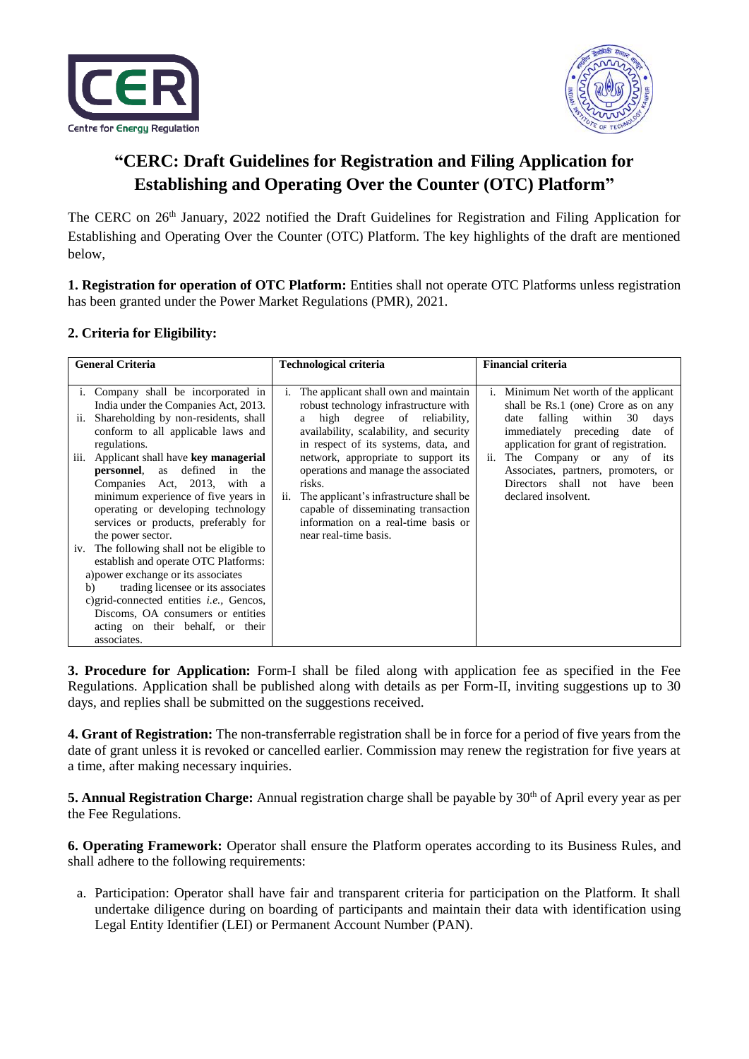



# **"CERC: Draft Guidelines for Registration and Filing Application for Establishing and Operating Over the Counter (OTC) Platform"**

The CERC on 26<sup>th</sup> January, 2022 notified the Draft Guidelines for Registration and Filing Application for Establishing and Operating Over the Counter (OTC) Platform. The key highlights of the draft are mentioned below,

**1. Registration for operation of OTC Platform:** Entities shall not operate OTC Platforms unless registration has been granted under the Power Market Regulations (PMR), 2021.

# **2. Criteria for Eligibility:**

| <b>General Criteria</b>                                                                                                                                                                                                                                                                                                                                                                                                                      | <b>Technological criteria</b>                                                                                                                                                                                                                                                                                                                                                                                                     | <b>Financial criteria</b>                                                                                                                                                                                                                                                                                                                                                |
|----------------------------------------------------------------------------------------------------------------------------------------------------------------------------------------------------------------------------------------------------------------------------------------------------------------------------------------------------------------------------------------------------------------------------------------------|-----------------------------------------------------------------------------------------------------------------------------------------------------------------------------------------------------------------------------------------------------------------------------------------------------------------------------------------------------------------------------------------------------------------------------------|--------------------------------------------------------------------------------------------------------------------------------------------------------------------------------------------------------------------------------------------------------------------------------------------------------------------------------------------------------------------------|
| i. Company shall be incorporated in<br>India under the Companies Act, 2013.<br>ii. Shareholding by non-residents, shall<br>conform to all applicable laws and<br>regulations.<br>iii. Applicant shall have key managerial<br>defined<br><b>personnel</b> , as<br>the<br>in<br>Companies Act, 2013, with<br><sub>a</sub><br>minimum experience of five years in<br>operating or developing technology<br>services or products, preferably for | The applicant shall own and maintain<br>1.<br>robust technology infrastructure with<br>high degree of reliability,<br>a<br>availability, scalability, and security<br>in respect of its systems, data, and<br>network, appropriate to support its<br>operations and manage the associated<br>risks.<br>ii. The applicant's infrastructure shall be<br>capable of disseminating transaction<br>information on a real-time basis or | i. Minimum Net worth of the applicant<br>shall be Rs.1 (one) Crore as on any<br>falling<br>within<br>30<br>days<br>date<br>immediately preceding<br>date<br>of<br>application for grant of registration.<br>The Company or any of its<br>$\overline{\mathbf{11}}$ .<br>Associates, partners, promoters, or<br>shall not have<br>Directors<br>been<br>declared insolvent. |
| the power sector.<br>iv. The following shall not be eligible to<br>establish and operate OTC Platforms:<br>a) power exchange or its associates<br>trading licensee or its associates<br>b)<br>c) grid-connected entities <i>i.e.</i> , Gencos,<br>Discoms, OA consumers or entities<br>acting on their behalf, or their<br>associates.                                                                                                       | near real-time basis.                                                                                                                                                                                                                                                                                                                                                                                                             |                                                                                                                                                                                                                                                                                                                                                                          |

**3. Procedure for Application:** Form-I shall be filed along with application fee as specified in the Fee Regulations. Application shall be published along with details as per Form-II, inviting suggestions up to 30 days, and replies shall be submitted on the suggestions received.

**4. Grant of Registration:** The non-transferrable registration shall be in force for a period of five years from the date of grant unless it is revoked or cancelled earlier. Commission may renew the registration for five years at a time, after making necessary inquiries.

**5. Annual Registration Charge:** Annual registration charge shall be payable by 30<sup>th</sup> of April every year as per the Fee Regulations.

**6. Operating Framework:** Operator shall ensure the Platform operates according to its Business Rules, and shall adhere to the following requirements:

a. Participation: Operator shall have fair and transparent criteria for participation on the Platform. It shall undertake diligence during on boarding of participants and maintain their data with identification using Legal Entity Identifier (LEI) or Permanent Account Number (PAN).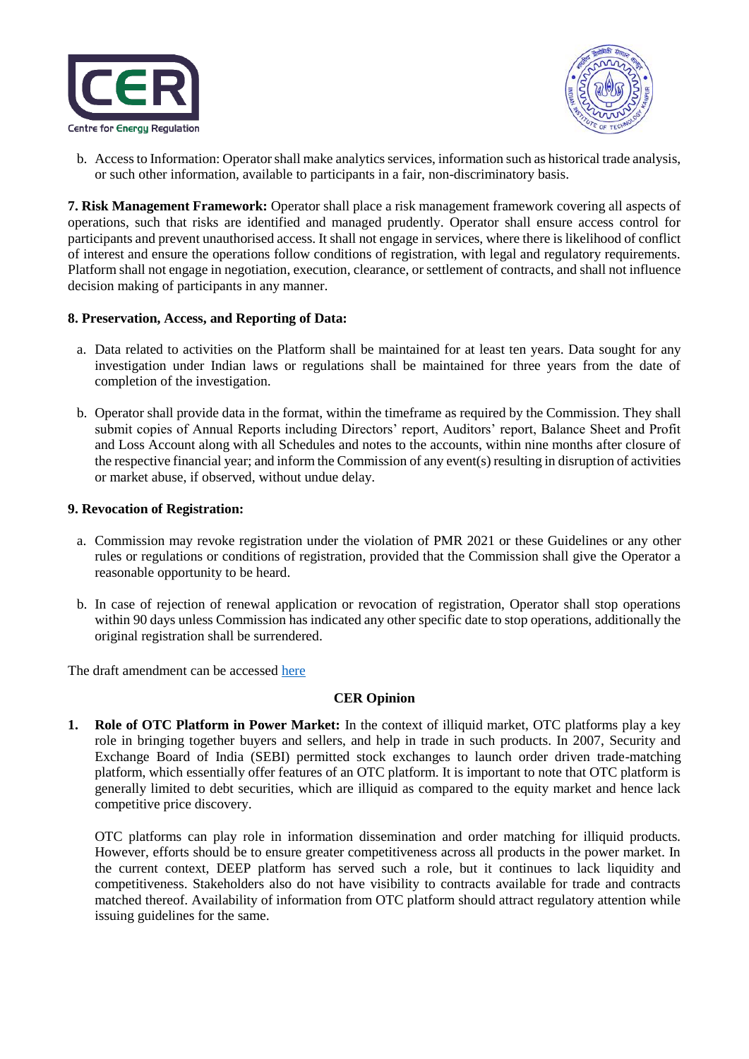



b. Access to Information: Operator shall make analytics services, information such as historical trade analysis, or such other information, available to participants in a fair, non-discriminatory basis.

**7. Risk Management Framework:** Operator shall place a risk management framework covering all aspects of operations, such that risks are identified and managed prudently. Operator shall ensure access control for participants and prevent unauthorised access. It shall not engage in services, where there is likelihood of conflict of interest and ensure the operations follow conditions of registration, with legal and regulatory requirements. Platform shall not engage in negotiation, execution, clearance, or settlement of contracts, and shall not influence decision making of participants in any manner.

### **8. Preservation, Access, and Reporting of Data:**

- a. Data related to activities on the Platform shall be maintained for at least ten years. Data sought for any investigation under Indian laws or regulations shall be maintained for three years from the date of completion of the investigation.
- b. Operator shall provide data in the format, within the timeframe as required by the Commission. They shall submit copies of Annual Reports including Directors' report, Auditors' report, Balance Sheet and Profit and Loss Account along with all Schedules and notes to the accounts, within nine months after closure of the respective financial year; and inform the Commission of any event(s) resulting in disruption of activities or market abuse, if observed, without undue delay.

### **9. Revocation of Registration:**

- a. Commission may revoke registration under the violation of PMR 2021 or these Guidelines or any other rules or regulations or conditions of registration, provided that the Commission shall give the Operator a reasonable opportunity to be heard.
- b. In case of rejection of renewal application or revocation of registration, Operator shall stop operations within 90 days unless Commission has indicated any other specific date to stop operations, additionally the original registration shall be surrendered.

The draft amendment can be accessed [here](https://cer.iitk.ac.in/odf_assets/upload_files/blog/Draft_Guidelines_for_Registration_Filing_Application_for_Establishing_and_Operating_Over_the_Counter_Platform.pdf)

# **CER Opinion**

**1. Role of OTC Platform in Power Market:** In the context of illiquid market, OTC platforms play a key role in bringing together buyers and sellers, and help in trade in such products. In 2007, Security and Exchange Board of India (SEBI) permitted stock exchanges to launch order driven trade-matching platform, which essentially offer features of an OTC platform. It is important to note that OTC platform is generally limited to debt securities, which are illiquid as compared to the equity market and hence lack competitive price discovery.

OTC platforms can play role in information dissemination and order matching for illiquid products. However, efforts should be to ensure greater competitiveness across all products in the power market. In the current context, DEEP platform has served such a role, but it continues to lack liquidity and competitiveness. Stakeholders also do not have visibility to contracts available for trade and contracts matched thereof. Availability of information from OTC platform should attract regulatory attention while issuing guidelines for the same.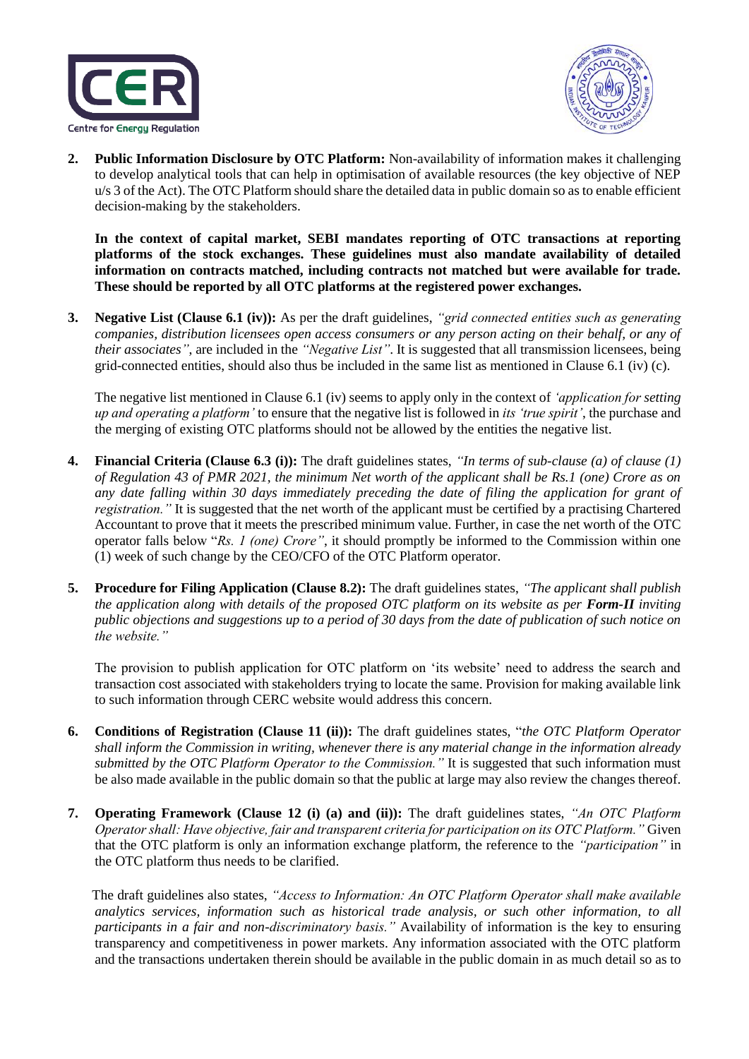



**2. Public Information Disclosure by OTC Platform:** Non-availability of information makes it challenging to develop analytical tools that can help in optimisation of available resources (the key objective of NEP u/s 3 of the Act). The OTC Platform should share the detailed data in public domain so as to enable efficient decision-making by the stakeholders.

**In the context of capital market, SEBI mandates reporting of OTC transactions at reporting platforms of the stock exchanges. These guidelines must also mandate availability of detailed information on contracts matched, including contracts not matched but were available for trade. These should be reported by all OTC platforms at the registered power exchanges.**

**3. Negative List (Clause 6.1 (iv)):** As per the draft guidelines, *"grid connected entities such as generating companies, distribution licensees open access consumers or any person acting on their behalf, or any of their associates"*, are included in the *"Negative List"*. It is suggested that all transmission licensees, being grid-connected entities, should also thus be included in the same list as mentioned in Clause 6.1 (iv) (c).

The negative list mentioned in Clause 6.1 (iv) seems to apply only in the context of *'application for setting up and operating a platform'* to ensure that the negative list is followed in *its 'true spirit'*, the purchase and the merging of existing OTC platforms should not be allowed by the entities the negative list.

- **4. Financial Criteria (Clause 6.3 (i)):** The draft guidelines states, *"In terms of sub-clause (a) of clause (1) of Regulation 43 of PMR 2021, the minimum Net worth of the applicant shall be Rs.1 (one) Crore as on any date falling within 30 days immediately preceding the date of filing the application for grant of registration."* It is suggested that the net worth of the applicant must be certified by a practising Chartered Accountant to prove that it meets the prescribed minimum value. Further, in case the net worth of the OTC operator falls below "*Rs. 1 (one) Crore"*, it should promptly be informed to the Commission within one (1) week of such change by the CEO/CFO of the OTC Platform operator.
- **5. Procedure for Filing Application (Clause 8.2):** The draft guidelines states, *"The applicant shall publish the application along with details of the proposed OTC platform on its website as per Form-II inviting public objections and suggestions up to a period of 30 days from the date of publication of such notice on the website."*

The provision to publish application for OTC platform on 'its website' need to address the search and transaction cost associated with stakeholders trying to locate the same. Provision for making available link to such information through CERC website would address this concern.

- **6. Conditions of Registration (Clause 11 (ii)):** The draft guidelines states, "*the OTC Platform Operator shall inform the Commission in writing, whenever there is any material change in the information already submitted by the OTC Platform Operator to the Commission."* It is suggested that such information must be also made available in the public domain so that the public at large may also review the changes thereof.
- **7. Operating Framework (Clause 12 (i) (a) and (ii)):** The draft guidelines states, *"An OTC Platform Operator shall: Have objective, fair and transparent criteria for participation on its OTC Platform."* Given that the OTC platform is only an information exchange platform, the reference to the *"participation"* in the OTC platform thus needs to be clarified.

 The draft guidelines also states, *"Access to Information: An OTC Platform Operator shall make available analytics services, information such as historical trade analysis, or such other information, to all participants in a fair and non-discriminatory basis."* Availability of information is the key to ensuring transparency and competitiveness in power markets. Any information associated with the OTC platform and the transactions undertaken therein should be available in the public domain in as much detail so as to